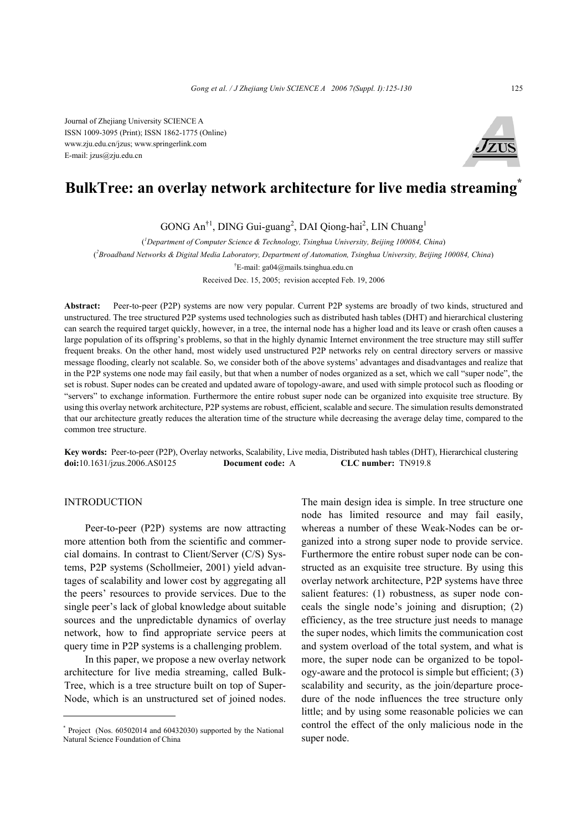Journal of Zhejiang University SCIENCE A ISSN 1009-3095 (Print); ISSN 1862-1775 (Online) www.zju.edu.cn/jzus; www.springerlink.com E-mail: jzus@zju.edu.cn



# **BulkTree: an overlay network architecture for live media streaming\***

GONG An<sup>†1</sup>, DING Gui-guang<sup>2</sup>, DAI Qiong-hai<sup>2</sup>, LIN Chuang<sup>1</sup>

( *1 Department of Computer Science & Technology, Tsinghua University, Beijing 100084, China*) ( *2 Broadband Networks & Digital Media Laboratory, Department of Automation, Tsinghua University, Beijing 100084, China*) † E-mail: ga04@mails.tsinghua.edu.cn Received Dec. 15, 2005; revision accepted Feb. 19, 2006

**Abstract:** Peer-to-peer (P2P) systems are now very popular. Current P2P systems are broadly of two kinds, structured and unstructured. The tree structured P2P systems used technologies such as distributed hash tables (DHT) and hierarchical clustering can search the required target quickly, however, in a tree, the internal node has a higher load and its leave or crash often causes a large population of its offspring's problems, so that in the highly dynamic Internet environment the tree structure may still suffer frequent breaks. On the other hand, most widely used unstructured P2P networks rely on central directory servers or massive message flooding, clearly not scalable. So, we consider both of the above systems' advantages and disadvantages and realize that in the P2P systems one node may fail easily, but that when a number of nodes organized as a set, which we call "super node", the set is robust. Super nodes can be created and updated aware of topology-aware, and used with simple protocol such as flooding or "servers" to exchange information. Furthermore the entire robust super node can be organized into exquisite tree structure. By using this overlay network architecture, P2P systems are robust, efficient, scalable and secure. The simulation results demonstrated that our architecture greatly reduces the alteration time of the structure while decreasing the average delay time, compared to the common tree structure.

**Key words:** Peer-to-peer (P2P), Overlay networks, Scalability, Live media, Distributed hash tables (DHT), Hierarchical clustering **doi:**10.1631/jzus.2006.AS0125 **Document code:** A **CLC number:** TN919.8

## INTRODUCTION

Peer-to-peer (P2P) systems are now attracting more attention both from the scientific and commercial domains. In contrast to Client/Server (C/S) Systems, P2P systems (Schollmeier, 2001) yield advantages of scalability and lower cost by aggregating all the peers' resources to provide services. Due to the single peer's lack of global knowledge about suitable sources and the unpredictable dynamics of overlay network, how to find appropriate service peers at query time in P2P systems is a challenging problem.

In this paper, we propose a new overlay network architecture for live media streaming, called Bulk-Tree, which is a tree structure built on top of Super-Node, which is an unstructured set of joined nodes.

The main design idea is simple. In tree structure one node has limited resource and may fail easily, whereas a number of these Weak-Nodes can be organized into a strong super node to provide service. Furthermore the entire robust super node can be constructed as an exquisite tree structure. By using this overlay network architecture, P2P systems have three salient features: (1) robustness, as super node conceals the single node's joining and disruption; (2) efficiency, as the tree structure just needs to manage the super nodes, which limits the communication cost and system overload of the total system, and what is more, the super node can be organized to be topology-aware and the protocol is simple but efficient; (3) scalability and security, as the join/departure procedure of the node influences the tree structure only little; and by using some reasonable policies we can control the effect of the only malicious node in the super node.

<sup>\*</sup> Project (Nos. 60502014 and 60432030) supported by the National Natural Science Foundation of China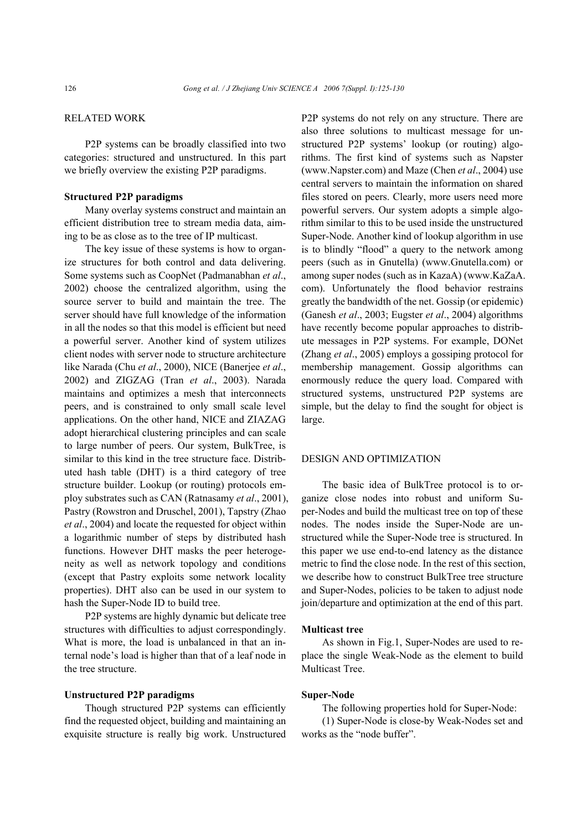## RELATED WORK

P2P systems can be broadly classified into two categories: structured and unstructured. In this part we briefly overview the existing P2P paradigms.

#### **Structured P2P paradigms**

Many overlay systems construct and maintain an efficient distribution tree to stream media data, aiming to be as close as to the tree of IP multicast.

The key issue of these systems is how to organize structures for both control and data delivering. Some systems such as CoopNet (Padmanabhan *et al*., 2002) choose the centralized algorithm, using the source server to build and maintain the tree. The server should have full knowledge of the information in all the nodes so that this model is efficient but need a powerful server. Another kind of system utilizes client nodes with server node to structure architecture like Narada (Chu *et al*., 2000), NICE (Banerjee *et al*., 2002) and ZIGZAG (Tran *et al*., 2003). Narada maintains and optimizes a mesh that interconnects peers, and is constrained to only small scale level applications. On the other hand, NICE and ZIAZAG adopt hierarchical clustering principles and can scale to large number of peers. Our system, BulkTree, is similar to this kind in the tree structure face. Distributed hash table (DHT) is a third category of tree structure builder. Lookup (or routing) protocols employ substrates such as CAN (Ratnasamy *et al*., 2001), Pastry (Rowstron and Druschel, 2001), Tapstry (Zhao *et al*., 2004) and locate the requested for object within a logarithmic number of steps by distributed hash functions. However DHT masks the peer heterogeneity as well as network topology and conditions (except that Pastry exploits some network locality properties). DHT also can be used in our system to hash the Super-Node ID to build tree.

P2P systems are highly dynamic but delicate tree structures with difficulties to adjust correspondingly. What is more, the load is unbalanced in that an internal node's load is higher than that of a leaf node in the tree structure.

## **Unstructured P2P paradigms**

Though structured P2P systems can efficiently find the requested object, building and maintaining an exquisite structure is really big work. Unstructured P2P systems do not rely on any structure. There are also three solutions to multicast message for unstructured P2P systems' lookup (or routing) algorithms. The first kind of systems such as Napster (www.Napster.com) and Maze (Chen *et al*., 2004) use central servers to maintain the information on shared files stored on peers. Clearly, more users need more powerful servers. Our system adopts a simple algorithm similar to this to be used inside the unstructured Super-Node. Another kind of lookup algorithm in use is to blindly "flood" a query to the network among peers (such as in Gnutella) (www.Gnutella.com) or among super nodes (such as in KazaA) (www.KaZaA. com). Unfortunately the flood behavior restrains greatly the bandwidth of the net. Gossip (or epidemic) (Ganesh *et al*., 2003; Eugster *et al*., 2004) algorithms have recently become popular approaches to distribute messages in P2P systems. For example, DONet (Zhang *et al*., 2005) employs a gossiping protocol for membership management. Gossip algorithms can enormously reduce the query load. Compared with structured systems, unstructured P2P systems are simple, but the delay to find the sought for object is large.

## DESIGN AND OPTIMIZATION

The basic idea of BulkTree protocol is to organize close nodes into robust and uniform Super-Nodes and build the multicast tree on top of these nodes. The nodes inside the Super-Node are unstructured while the Super-Node tree is structured. In this paper we use end-to-end latency as the distance metric to find the close node. In the rest of this section, we describe how to construct BulkTree tree structure and Super-Nodes, policies to be taken to adjust node join/departure and optimization at the end of this part.

#### **Multicast tree**

As shown in Fig.1, Super-Nodes are used to replace the single Weak-Node as the element to build Multicast Tree.

## **Super-Node**

The following properties hold for Super-Node:

(1) Super-Node is close-by Weak-Nodes set and works as the "node buffer".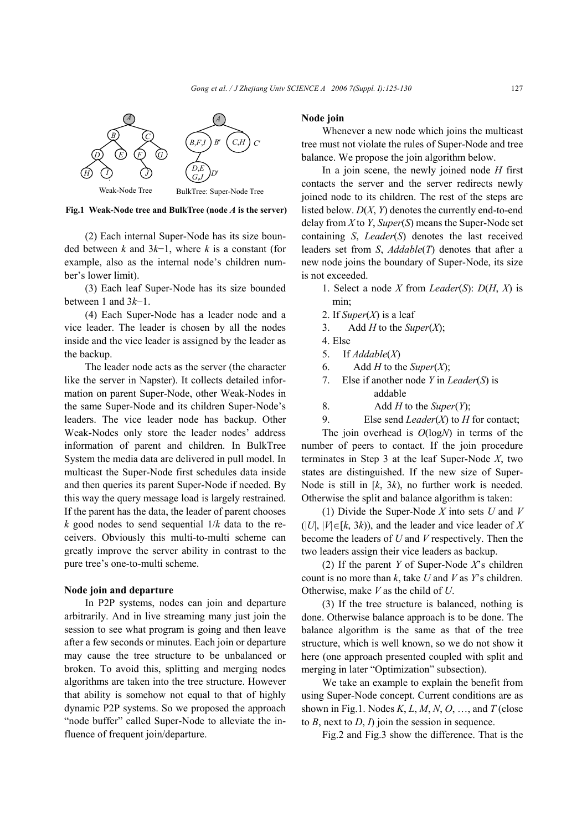

**Fig.1 Weak-Node tree and BulkTree (node** *A* **is the server)**

(2) Each internal Super-Node has its size bounded between *k* and 3*k*−1, where *k* is a constant (for example, also as the internal node's children number's lower limit).

(3) Each leaf Super-Node has its size bounded between 1 and 3*k*−1.

(4) Each Super-Node has a leader node and a vice leader. The leader is chosen by all the nodes inside and the vice leader is assigned by the leader as the backup.

The leader node acts as the server (the character like the server in Napster). It collects detailed information on parent Super-Node, other Weak-Nodes in the same Super-Node and its children Super-Node's leaders. The vice leader node has backup. Other Weak-Nodes only store the leader nodes' address information of parent and children. In BulkTree System the media data are delivered in pull model. In multicast the Super-Node first schedules data inside and then queries its parent Super-Node if needed. By this way the query message load is largely restrained. If the parent has the data, the leader of parent chooses  $k$  good nodes to send sequential  $1/k$  data to the receivers. Obviously this multi-to-multi scheme can greatly improve the server ability in contrast to the pure tree's one-to-multi scheme.

## **Node join and departure**

In P2P systems, nodes can join and departure arbitrarily. And in live streaming many just join the session to see what program is going and then leave after a few seconds or minutes. Each join or departure may cause the tree structure to be unbalanced or broken. To avoid this, splitting and merging nodes algorithms are taken into the tree structure. However that ability is somehow not equal to that of highly dynamic P2P systems. So we proposed the approach "node buffer" called Super-Node to alleviate the influence of frequent join/departure.

#### **Node join**

Whenever a new node which joins the multicast tree must not violate the rules of Super-Node and tree balance. We propose the join algorithm below.

In a join scene, the newly joined node *H* first contacts the server and the server redirects newly joined node to its children. The rest of the steps are listed below. *D*(*X*, *Y*) denotes the currently end-to-end delay from *X* to *Y*, *Super*(*S*) means the Super-Node set containing *S*, *Leader*(*S*) denotes the last received leaders set from *S*, *Addable*(*T*) denotes that after a new node joins the boundary of Super-Node, its size is not exceeded.

- 1. Select a node *X* from *Leader*(*S*): *D*(*H*, *X*) is min;
- 2. If  $Super(X)$  is a leaf
- 3. Add *H* to the *Super*(*X*);
- 4. Else
- 5. If *Addable*(*X*)
- 6. Add *H* to the *Super*(*X*);
- 7. Else if another node *Y* in *Leader*(*S*) is addable
- 8. Add *H* to the *Super*(*Y*);
- 9. Else send *Leader*(*X*) to *H* for contact;

The join overhead is *O*(log*N*) in terms of the number of peers to contact. If the join procedure terminates in Step 3 at the leaf Super-Node *X*, two states are distinguished. If the new size of Super-Node is still in [*k*, 3*k*), no further work is needed. Otherwise the split and balance algorithm is taken:

(1) Divide the Super-Node *X* into sets *U* and *V*  $(|U|, |V| \in [k, 3k)$ , and the leader and vice leader of X become the leaders of *U* and *V* respectively. Then the two leaders assign their vice leaders as backup.

(2) If the parent *Y* of Super-Node *X*'s children count is no more than *k*, take *U* and *V* as *Y*'s children. Otherwise, make *V* as the child of *U*.

(3) If the tree structure is balanced, nothing is done. Otherwise balance approach is to be done. The balance algorithm is the same as that of the tree structure, which is well known, so we do not show it here (one approach presented coupled with split and merging in later "Optimization" subsection).

We take an example to explain the benefit from using Super-Node concept. Current conditions are as shown in Fig.1. Nodes  $K, L, M, N, O, \ldots$  and  $T$  (close to *B*, next to *D*, *I*) join the session in sequence.

Fig.2 and Fig.3 show the difference. That is the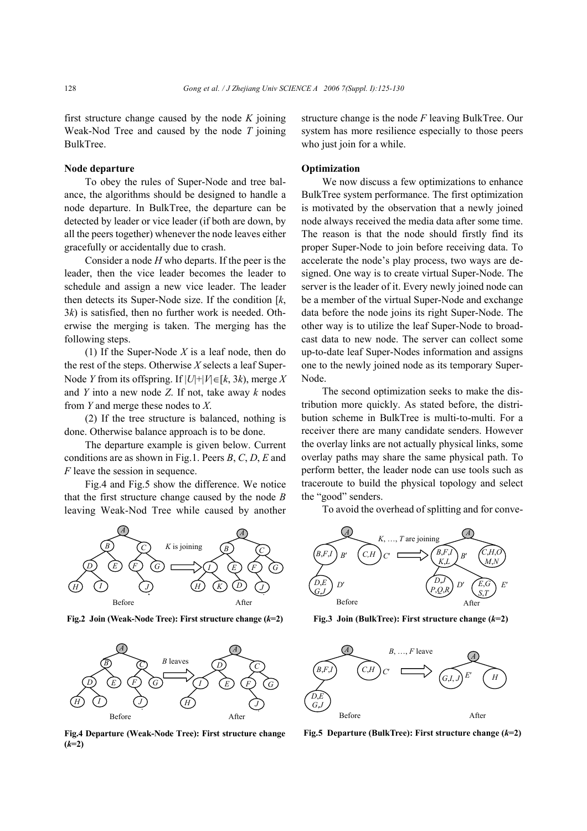first structure change caused by the node *K* joining Weak-Nod Tree and caused by the node *T* joining BulkTree.

## **Node departure**

To obey the rules of Super-Node and tree balance, the algorithms should be designed to handle a node departure. In BulkTree, the departure can be detected by leader or vice leader (if both are down, by all the peers together) whenever the node leaves either gracefully or accidentally due to crash.

Consider a node *H* who departs. If the peer is the leader, then the vice leader becomes the leader to schedule and assign a new vice leader. The leader then detects its Super-Node size. If the condition [*k*, 3*k*) is satisfied, then no further work is needed. Otherwise the merging is taken. The merging has the following steps.

(1) If the Super-Node *X* is a leaf node, then do the rest of the steps. Otherwise *X* selects a leaf Super-Node *Y* from its offspring. If  $|U| + |V| \in [k, 3k)$ , merge *X* and *Y* into a new node *Z*. If not, take away *k* nodes from *Y* and merge these nodes to *X*.

(2) If the tree structure is balanced, nothing is done. Otherwise balance approach is to be done.

The departure example is given below. Current conditions are as shown in Fig.1. Peers *B*, *C*, *D*, *E* and *F* leave the session in sequence.

Fig.4 and Fig.5 show the difference. We notice that the first structure change caused by the node *B* leaving Weak-Nod Tree while caused by another



**Fig.2 Join (Weak-Node Tree): First structure change (***k***=2) Fig.3 Join (BulkTree): First structure change (***k***=2)**



**Fig.4 Departure (Weak-Node Tree): First structure change**  $(k=2)$ 

structure change is the node *F* leaving BulkTree. Our system has more resilience especially to those peers who just join for a while.

## **Optimization**

We now discuss a few optimizations to enhance BulkTree system performance. The first optimization is motivated by the observation that a newly joined node always received the media data after some time. The reason is that the node should firstly find its proper Super-Node to join before receiving data. To accelerate the node's play process, two ways are designed. One way is to create virtual Super-Node. The server is the leader of it. Every newly joined node can be a member of the virtual Super-Node and exchange data before the node joins its right Super-Node. The other way is to utilize the leaf Super-Node to broadcast data to new node. The server can collect some up-to-date leaf Super-Nodes information and assigns one to the newly joined node as its temporary Super-Node.

The second optimization seeks to make the distribution more quickly. As stated before, the distribution scheme in BulkTree is multi-to-multi. For a receiver there are many candidate senders. However the overlay links are not actually physical links, some overlay paths may share the same physical path. To perform better, the leader node can use tools such as traceroute to build the physical topology and select the "good" senders.

To avoid the overhead of splitting and for conve-





**Fig.5 Departure (BulkTree): First structure change (***k***=2)**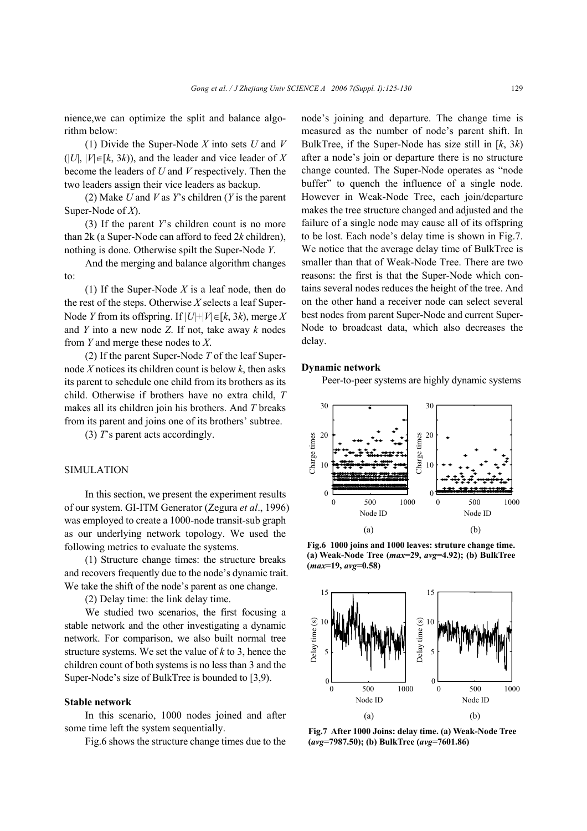nience,we can optimize the split and balance algorithm below:

(1) Divide the Super-Node *X* into sets *U* and *V*  $(|U|, |V| \in [k, 3k)$ , and the leader and vice leader of X become the leaders of *U* and *V* respectively. Then the two leaders assign their vice leaders as backup.

(2) Make *U* and *V* as *Y*'s children (*Y* is the parent Super-Node of *X*).

(3) If the parent *Y*'s children count is no more than 2k (a Super-Node can afford to feed 2*k* children), nothing is done. Otherwise spilt the Super-Node *Y*.

And the merging and balance algorithm changes to:

(1) If the Super-Node *X* is a leaf node, then do the rest of the steps. Otherwise *X* selects a leaf Super-Node *Y* from its offspring. If |*U*|+|*V*|∈[*k*, 3*k*), merge *X* and *Y* into a new node *Z*. If not, take away *k* nodes from *Y* and merge these nodes to *X*.

(2) If the parent Super-Node *T* of the leaf Supernode *X* notices its children count is below *k*, then asks its parent to schedule one child from its brothers as its child. Otherwise if brothers have no extra child, *T* makes all its children join his brothers. And *T* breaks from its parent and joins one of its brothers' subtree.

(3) *T*'s parent acts accordingly.

# SIMULATION

In this section, we present the experiment results of our system. GI-ITM Generator (Zegura *et al*., 1996) was employed to create a 1000-node transit-sub graph as our underlying network topology. We used the following metrics to evaluate the systems.

(1) Structure change times: the structure breaks and recovers frequently due to the node's dynamic trait. We take the shift of the node's parent as one change.

(2) Delay time: the link delay time.

We studied two scenarios, the first focusing a stable network and the other investigating a dynamic network. For comparison, we also built normal tree structure systems. We set the value of *k* to 3, hence the children count of both systems is no less than 3 and the Super-Node's size of BulkTree is bounded to [3,9).

#### **Stable network**

In this scenario, 1000 nodes joined and after some time left the system sequentially.

Fig.6 shows the structure change times due to the

node's joining and departure. The change time is measured as the number of node's parent shift. In BulkTree, if the Super-Node has size still in [*k*, 3*k*) after a node's join or departure there is no structure change counted. The Super-Node operates as "node buffer" to quench the influence of a single node. However in Weak-Node Tree, each join/departure makes the tree structure changed and adjusted and the failure of a single node may cause all of its offspring to be lost. Each node's delay time is shown in Fig.7. We notice that the average delay time of BulkTree is smaller than that of Weak-Node Tree. There are two reasons: the first is that the Super-Node which contains several nodes reduces the height of the tree. And on the other hand a receiver node can select several best nodes from parent Super-Node and current Super-Node to broadcast data, which also decreases the delay.

#### **Dynamic network**

Peer-to-peer systems are highly dynamic systems



**Fig.6 1000 joins and 1000 leaves: struture change time. (a) Weak-Node Tree (***max***=29,** *avg***=4.92); (b) BulkTree (***max***=19,** *avg***=0.58)**



**Fig.7 After 1000 Joins: delay time. (a) Weak-Node Tree (***avg***=7987.50); (b) BulkTree (***avg***=7601.86)**